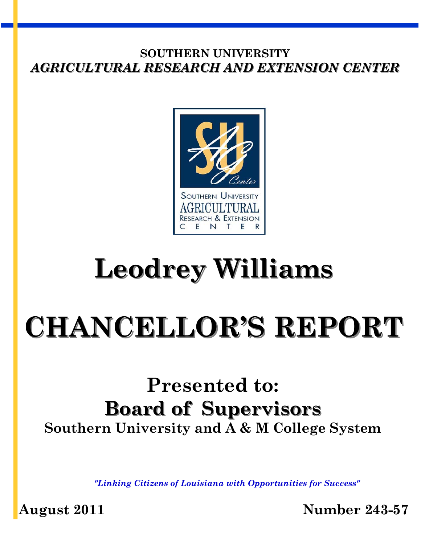

# **Leodrey Williams**

# **CHANCELLOR'S REPORT**

# **Presented to: Board of Supervisors Southern University and A & M College System**

*"Linking Citizens of Louisiana with Opportunities for Success"* 

**August 2011 Number 243-57**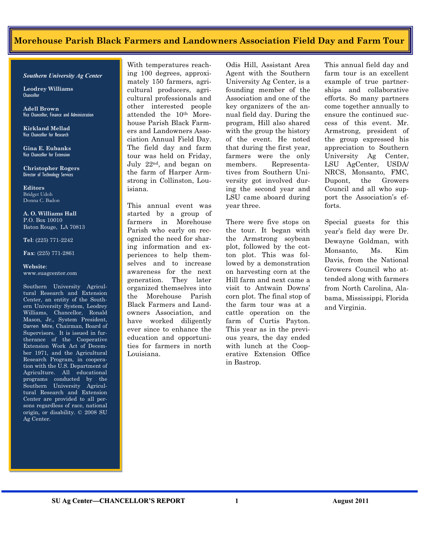#### Morehouse Parish Black Farmers and Landowners Association Field Day and Farm Tour

*Southern University Ag Center* 

**Leodrey Williams**  Chancellor

**Adell Brown** Vice Chancellor, Finance and Administration

**Kirkland Mellad**  Vice Chancellor for Research

**Gina E. Eubanks**  Vice Chancellor for Extension

**Christopher Rogers** Director of Technology Services

**Editors**  Bridget Udoh Donna C. Badon

**A. O. Williams Hall**  P.O. Box 10010 Baton Rouge, LA 70813

**Tel**: (225) 771-2242

**Fax**: (225) 771-2861

#### **Website**: www.suagcenter.com

Southern University Agricultural Research and Extension Center, an entity of the Southern University System, Leodrey Williams, Chancellor, Ronald Mason, Jr., System President, Darren Mire, Chairman, Board of Supervisors. It is issued in furtherance of the Cooperative Extension Work Act of December 1971, and the Agricultural Research Program, in cooperation with the U.S. Department of Agriculture. All educational programs conducted by the Southern University Agricultural Research and Extension Center are provided to all persons regardless of race, national origin, or disability. © 2008 SU Ag Center.

With temperatures reaching 100 degrees, approximately 150 farmers, agricultural producers, agricultural professionals and other interested people attended the 10th Morehouse Parish Black Farmers and Landowners Association Annual Field Day. The field day and farm tour was held on Friday, July 22nd, and began on the farm of Harper Armstrong in Collinston, Louisiana.

This annual event was started by a group of farmers in Morehouse Parish who early on recognized the need for sharing information and experiences to help themselves and to increase awareness for the next generation. They later organized themselves into the Morehouse Parish Black Farmers and Landowners Association, and have worked diligently ever since to enhance the education and opportunities for farmers in north Louisiana.

Odis Hill, Assistant Area Agent with the Southern University Ag Center, is a founding member of the Association and one of the key organizers of the annual field day. During the program, Hill also shared with the group the history of the event. He noted that during the first year, farmers were the only members. Representatives from Southern University got involved during the second year and LSU came aboard during year three.

There were five stops on the tour. It began with the Armstrong soybean plot, followed by the cotton plot. This was followed by a demonstration on harvesting corn at the Hill farm and next came a visit to Antwain Downs' corn plot. The final stop of the farm tour was at a cattle operation on the farm of Curtis Payton. This year as in the previous years, the day ended with lunch at the Cooperative Extension Office in Bastrop.

This annual field day and farm tour is an excellent example of true partnerships and collaborative efforts. So many partners come together annually to ensure the continued success of this event. Mr. Armstrong, president of the group expressed his appreciation to Southern University Ag Center, LSU AgCenter, USDA/ NRCS, Monsanto, FMC, Dupont, the Growers Council and all who support the Association's efforts.

Special guests for this year's field day were Dr. Dewayne Goldman, with Monsanto, Ms. Kim Davis, from the National Growers Council who attended along with farmers from North Carolina, Alabama, Mississippi, Florida and Virginia.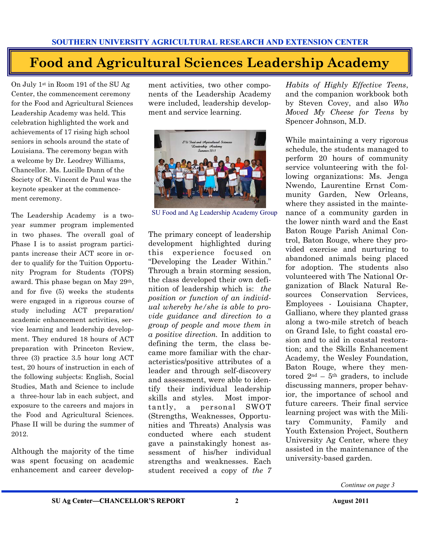## **Food and Agricultural Sciences Leadership Academy**

On July 1st in Room 191 of the SU Ag Center, the commencement ceremony for the Food and Agricultural Sciences Leadership Academy was held. This celebration highlighted the work and achievements of 17 rising high school seniors in schools around the state of Louisiana. The ceremony began with a welcome by Dr. Leodrey Williams, Chancellor. Ms. Lucille Dunn of the Society of St. Vincent de Paul was the keynote speaker at the commencement ceremony.

The Leadership Academy is a twoyear summer program implemented in two phases. The overall goal of Phase I is to assist program participants increase their ACT score in order to qualify for the Tuition Opportunity Program for Students (TOPS) award. This phase began on May 29th, and for five (5) weeks the students were engaged in a rigorous course of study including ACT preparation/ academic enhancement activities, service learning and leadership development. They endured 18 hours of ACT preparation with Princeton Review, three (3) practice 3.5 hour long ACT test, 20 hours of instruction in each of the following subjects: English, Social Studies, Math and Science to include a three-hour lab in each subject, and exposure to the careers and majors in the Food and Agricultural Sciences. Phase II will be during the summer of 2012.

Although the majority of the time was spent focusing on academic enhancement and career development activities, two other components of the Leadership Academy were included, leadership development and service learning.



SU Food and Ag Leadership Academy Group

The primary concept of leadership development highlighted during this experience focused on "Developing the Leader Within." Through a brain storming session, the class developed their own definition of leadership which is: *the position or function of an individual whereby he/she is able to provide guidance and direction to a group of people and move them in a positive direction.* In addition to defining the term, the class became more familiar with the characteristics/positive attributes of a leader and through self-discovery and assessment, were able to identify their individual leadership skills and styles. Most importantly, a personal SWOT (Strengths, Weaknesses, Opportunities and Threats) Analysis was conducted where each student gave a painstakingly honest assessment of his/her individual strengths and weaknesses. Each student received a copy of *the 7* 

*Habits of Highly Effective Teens*, and the companion workbook both by Steven Covey, and also *Who Moved My Cheese for Teens* by Spencer Johnson, M.D.

While maintaining a very rigorous schedule, the students managed to perform 20 hours of community service volunteering with the following organizations: Ms. Jenga Nwendo, Laurentine Ernst Community Garden, New Orleans, where they assisted in the maintenance of a community garden in the lower ninth ward and the East Baton Rouge Parish Animal Control, Baton Rouge, where they provided exercise and nurturing to abandoned animals being placed for adoption. The students also volunteered with The National Organization of Black Natural Resources Conservation Services, Employees - Louisiana Chapter, Galliano, where they planted grass along a two-mile stretch of beach on Grand Isle, to fight coastal erosion and to aid in coastal restoration; and the Skills Enhancement Academy, the Wesley Foundation, Baton Rouge, where they mentored  $2<sup>nd</sup> - 5<sup>th</sup>$  graders, to include discussing manners, proper behavior, the importance of school and future careers. Their final service learning project was with the Military Community, Family and Youth Extension Project, Southern University Ag Center, where they assisted in the maintenance of the university-based garden.

*Continue on page 3*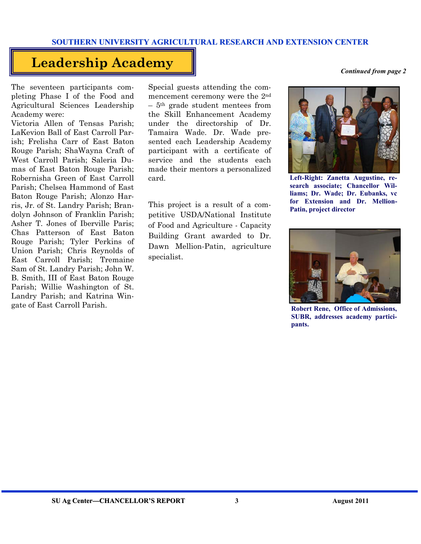### **Leadership Academy**

The seventeen participants completing Phase I of the Food and Agricultural Sciences Leadership Academy were:

Victoria Allen of Tensas Parish; LaKevion Ball of East Carroll Parish; Frelisha Carr of East Baton Rouge Parish; ShaWayna Craft of West Carroll Parish; Saleria Dumas of East Baton Rouge Parish; Robernisha Green of East Carroll Parish; Chelsea Hammond of East Baton Rouge Parish; Alonzo Harris, Jr. of St. Landry Parish; Brandolyn Johnson of Franklin Parish; Asher T. Jones of Iberville Paris; Chas Patterson of East Baton Rouge Parish; Tyler Perkins of Union Parish; Chris Reynolds of East Carroll Parish; Tremaine Sam of St. Landry Parish; John W. B. Smith, III of East Baton Rouge Parish; Willie Washington of St. Landry Parish; and Katrina Wingate of East Carroll Parish.

Special guests attending the commencement ceremony were the 2nd – 5th grade student mentees from the Skill Enhancement Academy under the directorship of Dr. Tamaira Wade. Dr. Wade presented each Leadership Academy participant with a certificate of service and the students each made their mentors a personalized card.

This project is a result of a competitive USDA/National Institute of Food and Agriculture - Capacity Building Grant awarded to Dr. Dawn Mellion-Patin, agriculture specialist.

*Continued from page 2* 



**Left-Right: Zanetta Augustine, research associate; Chancellor Williams; Dr. Wade; Dr. Eubanks, vc for Extension and Dr. Mellion-Patin, project director** 



**Robert Rene, Office of Admissions, SUBR, addresses academy participants.**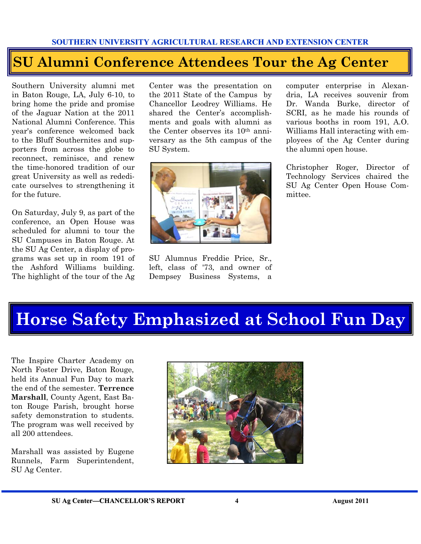## **SU Alumni Conference Attendees Tour the Ag Center**

Southern University alumni met in Baton Rouge, LA, July 6-10, to bring home the pride and promise of the Jaguar Nation at the 2011 National Alumni Conference. This year's conference welcomed back to the Bluff Southernites and supporters from across the globe to reconnect, reminisce, and renew the time-honored tradition of our great University as well as rededicate ourselves to strengthening it for the future.

On Saturday, July 9, as part of the conference, an Open House was scheduled for alumni to tour the SU Campuses in Baton Rouge. At the SU Ag Center, a display of programs was set up in room 191 of the Ashford Williams building. The highlight of the tour of the Ag

Center was the presentation on the 2011 State of the Campus by Chancellor Leodrey Williams. He shared the Center's accomplishments and goals with alumni as the Center observes its 10th anniversary as the 5th campus of the SU System.



SU Alumnus Freddie Price, Sr., left, class of '73, and owner of Dempsey Business Systems, a

computer enterprise in Alexandria, LA receives souvenir from Dr. Wanda Burke, director of SCRI, as he made his rounds of various booths in room 191, A.O. Williams Hall interacting with employees of the Ag Center during the alumni open house.

Christopher Roger, Director of Technology Services chaired the SU Ag Center Open House Committee.

# **Horse Safety Emphasized at School Fun Day**

The Inspire Charter Academy on North Foster Drive, Baton Rouge, held its Annual Fun Day to mark the end of the semester. **Terrence Marshall**, County Agent, East Baton Rouge Parish, brought horse safety demonstration to students. The program was well received by all 200 attendees.

Marshall was assisted by Eugene Runnels, Farm Superintendent, SU Ag Center.

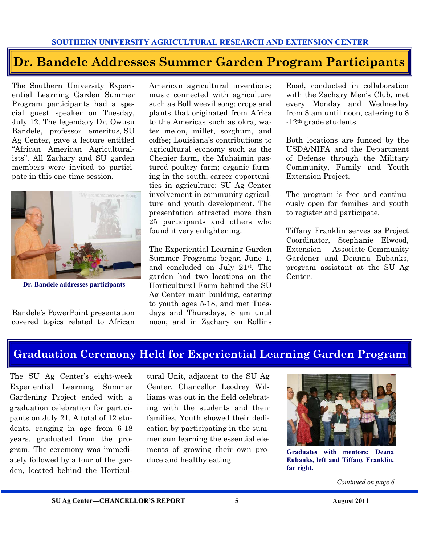### **Dr. Bandele Addresses Summer Garden Program Participants**

The Southern University Experiential Learning Garden Summer Program participants had a special guest speaker on Tuesday, July 12. The legendary Dr. Owusu Bandele, professor emeritus, SU Ag Center, gave a lecture entitled "African American Agriculturalists". All Zachary and SU garden members were invited to participate in this one-time session.



**Dr. Bandele addresses participants** 

Bandele's PowerPoint presentation covered topics related to African American agricultural inventions; music connected with agriculture such as Boll weevil song; crops and plants that originated from Africa to the Americas such as okra, water melon, millet, sorghum, and coffee; Louisiana's contributions to agricultural economy such as the Chenier farm, the Muhaimin pastured poultry farm; organic farming in the south; career opportunities in agriculture; SU Ag Center involvement in community agriculture and youth development. The presentation attracted more than 25 participants and others who found it very enlightening.

The Experiential Learning Garden Summer Programs began June 1, and concluded on July 21st. The garden had two locations on the Horticultural Farm behind the SU Ag Center main building, catering to youth ages 5-18, and met Tuesdays and Thursdays, 8 am until noon; and in Zachary on Rollins

Road, conducted in collaboration with the Zachary Men's Club, met every Monday and Wednesday from 8 am until noon, catering to 8 -12th grade students.

Both locations are funded by the USDA/NIFA and the Department of Defense through the Military Community, Family and Youth Extension Project.

The program is free and continuously open for families and youth to register and participate.

Tiffany Franklin serves as Project Coordinator, Stephanie Elwood, Extension Associate-Community Gardener and Deanna Eubanks, program assistant at the SU Ag Center.

### **Graduation Ceremony Held for Experiential Learning Garden Program**

The SU Ag Center's eight-week Experiential Learning Summer Gardening Project ended with a graduation celebration for participants on July 21. A total of 12 students, ranging in age from 6-18 years, graduated from the program. The ceremony was immediately followed by a tour of the garden, located behind the Horticul-

tural Unit, adjacent to the SU Ag Center. Chancellor Leodrey Williams was out in the field celebrating with the students and their families. Youth showed their dedication by participating in the summer sun learning the essential elements of growing their own produce and healthy eating.



**Graduates with mentors: Deana Eubanks, left and Tiffany Franklin, far right.** 

*Continued on page 6*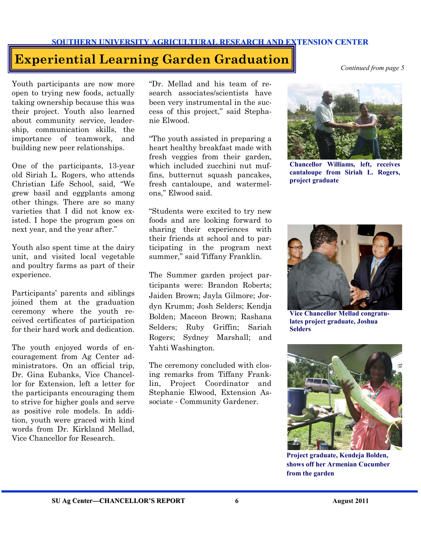### **Experiential Learning Garden Graduation**

Youth participants are now more open to trying new foods, actually taking ownership because this was their project. Youth also learned about community service, leadership, communication skills, the importance of teamwork, and building new peer relationships.

One of the participants, 13-year old Siriah L. Rogers, who attends Christian Life School, said, "We grew basil and eggplants among other things. There are so many varieties that I did not know existed. I hope the program goes on next year, and the year after."

Youth also spent time at the dairy unit, and visited local vegetable and poultry farms as part of their experience.

Participants' parents and siblings joined them at the graduation ceremony where the youth received certificates of participation for their hard work and dedication.

The youth enjoyed words of encouragement from Ag Center administrators. On an official trip, Dr. Gina Eubanks, Vice Chancellor for Extension, left a letter for the participants encouraging them to strive for higher goals and serve as positive role models. In addition, youth were graced with kind words from Dr. Kirkland Mellad, Vice Chancellor for Research.

"Dr. Mellad and his team of research associates/scientists have been very instrumental in the success of this project," said Stephanie Elwood.

"The youth assisted in preparing a heart healthy breakfast made with fresh veggies from their garden, which included zucchini nut muffins, butternut squash pancakes, fresh cantaloupe, and watermelons," Elwood said.

"Students were excited to try new foods and are looking forward to sharing their experiences with their friends at school and to participating in the program next summer," said Tiffany Franklin.

The Summer garden project participants were: Brandon Roberts; Jaiden Brown; Jayla Gilmore; Jordyn Krumm; Josh Selders; Kendja Bolden; Maceon Brown; Rashana Selders; Ruby Griffin; Sariah Rogers; Sydney Marshall; and Yahti Washington.

The ceremony concluded with closing remarks from Tiffany Franklin, Project Coordinator and Stephanie Elwood, Extension Associate - Community Gardener.

*Continued from page 5* 



**Chancellor Williams, left, receives cantaloupe from Siriah L. Rogers, project graduate** 



**lates project graduate, Joshua Selders** 



**Project graduate, Kendeja Bolden, shows off her Armenian Cucumber from the garden**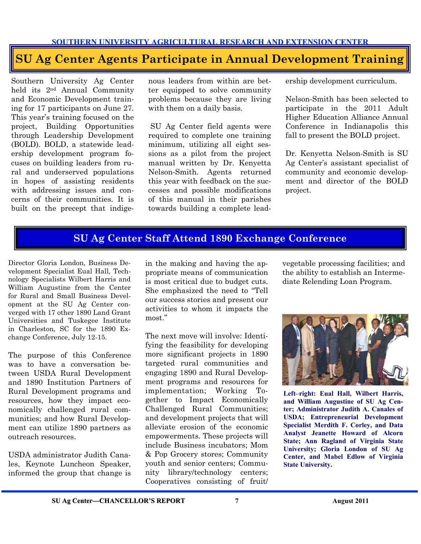### **SU Ag Center Agents Participate in Annual Development Training**

Southern University Ag Center held its 2nd Annual Community and Economic Development training for 17 participants on June 27. This year's training focused on the project, Building Opportunities through Leadership Development (BOLD). BOLD, a statewide leadership development program focuses on building leaders from rural and underserved populations in hopes of assisting residents with addressing issues and concerns of their communities. It is built on the precept that indige-

nous leaders from within are better equipped to solve community problems because they are living with them on a daily basis.

 SU Ag Center field agents were required to complete one training minimum, utilizing all eight sessions as a pilot from the project manual written by Dr. Kenyetta Nelson-Smith. Agents returned this year with feedback on the successes and possible modifications of this manual in their parishes towards building a complete leadership development curriculum.

Nelson-Smith has been selected to participate in the 2011 Adult Higher Education Alliance Annual Conference in Indianapolis this fall to present the BOLD project.

Dr. Kenyetta Nelson-Smith is SU Ag Center's assistant specialist of community and economic development and director of the BOLD project.

#### **SU Ag Center Staff Attend 1890 Exchange Conference**

Director Gloria London, Business Development Specialist Eual Hall, Technology Specialists Wilbert Harris and William Augustine from the Center for Rural and Small Business Development at the SU Ag Center converged with 17 other 1890 Land Grant Universities and Tuskegee Institute in Charleston, SC for the 1890 Exchange Conference, July 12-15.

The purpose of this Conference was to have a conversation between USDA Rural Development and 1890 Institution Partners of Rural Development programs and resources, how they impact economically challenged rural communities; and how Rural Development can utilize 1890 partners as outreach resources.

USDA administrator Judith Canales, Keynote Luncheon Speaker, informed the group that change is in the making and having the appropriate means of communication is most critical due to budget cuts. She emphasized the need to "Tell our success stories and present our activities to whom it impacts the most."

The next move will involve: Identifying the feasibility for developing more significant projects in 1890 targeted rural communities and engaging 1890 and Rural Development programs and resources for implementation; Working Together to Impact Economically Challenged Rural Communities; and development projects that will alleviate erosion of the economic empowerments. These projects will include Business incubators; Mom & Pop Grocery stores; Community youth and senior centers; Community library/technology centers; Cooperatives consisting of fruit/

vegetable processing facilities; and the ability to establish an Intermediate Relending Loan Program.



**Left–right: Eual Hall, Wilbert Harris, and William Augustine of SU Ag Center; Administrator Judith A. Canales of USDA; Entrepreneurial Development Specialist Merdith F. Corley, and Data Analyst Jeanette Howard of Alcorn State; Ann Ragland of Virginia State University; Gloria London of SU Ag Center, and Mabel Edlow of Virginia State University.**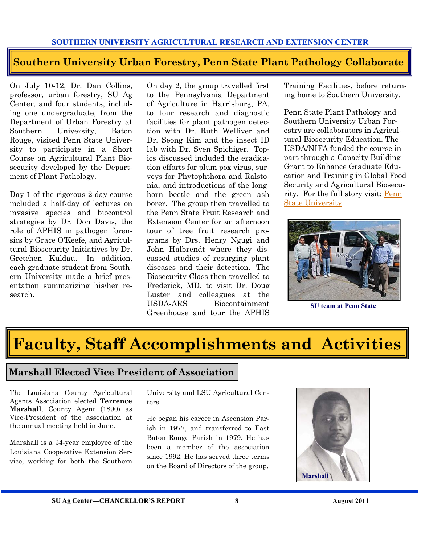#### **Southern University Urban Forestry, Penn State Plant Pathology Collaborate**

On July 10-12, Dr. Dan Collins, professor, urban forestry, SU Ag Center, and four students, including one undergraduate, from the Department of Urban Forestry at Southern University, Baton Rouge, visited Penn State University to participate in a Short Course on Agricultural Plant Biosecurity developed by the Department of Plant Pathology.

Day 1 of the rigorous 2-day course included a half-day of lectures on invasive species and biocontrol strategies by Dr. Don Davis, the role of APHIS in pathogen forensics by Grace O'Keefe, and Agricultural Biosecurity Initiatives by Dr. Gretchen Kuldau. In addition, each graduate student from Southern University made a brief presentation summarizing his/her research.

On day 2, the group travelled first to the Pennsylvania Department of Agriculture in Harrisburg, PA, to tour research and diagnostic facilities for plant pathogen detection with Dr. Ruth Welliver and Dr. Seong Kim and the insect ID lab with Dr. Sven Spichiger. Topics discussed included the eradication efforts for plum pox virus, surveys for Phytophthora and Ralstonia, and introductions of the longhorn beetle and the green ash borer. The group then travelled to the Penn State Fruit Research and Extension Center for an afternoon tour of tree fruit research programs by Drs. Henry Ngugi and John Halbrendt where they discussed studies of resurging plant diseases and their detection. The Biosecurity Class then travelled to Frederick, MD, to visit Dr. Doug Luster and colleagues at the USDA-ARS Biocontainment Greenhouse and tour the APHIS

Training Facilities, before returning home to Southern University.

Penn State Plant Pathology and Southern University Urban Forestry are collaborators in Agricultural Biosecurity Education. The USDA/NIFA funded the course in part through a Capacity Building Grant to Enhance Graduate Education and Training in Global Food Security and Agricultural Biosecurity. For the full story visit: [Penn](http://plantpath.psu.edu/)  [State University](http://plantpath.psu.edu/)



**SU team at Penn State** 

# **Faculty, Staff Accomplishments and Activities**

#### **Marshall Elected Vice President of Association**

The Louisiana County Agricultural Agents Association elected **Terrence Marshall**, County Agent (1890) as Vice-President of the association at the annual meeting held in June.

Marshall is a 34-year employee of the Louisiana Cooperative Extension Service, working for both the Southern

University and LSU Agricultural Centers.

He began his career in Ascension Parish in 1977, and transferred to East Baton Rouge Parish in 1979. He has been a member of the association since 1992. He has served three terms on the Board of Directors of the group.

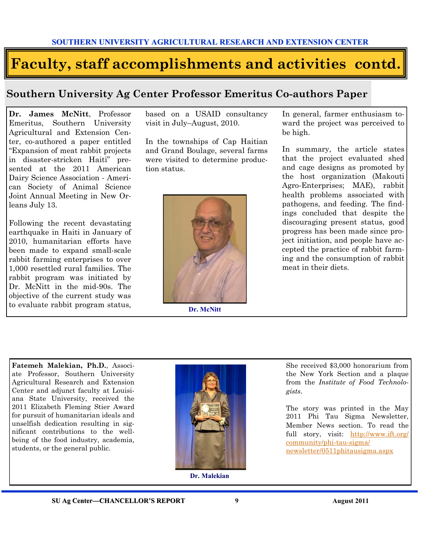# **Faculty, staff accomplishments and activities contd.**

### **Southern University Ag Center Professor Emeritus Co-authors Paper**

**Dr. James McNitt**, Professor Emeritus, Southern University Agricultural and Extension Center, co-authored a paper entitled "Expansion of meat rabbit projects in disaster-stricken Haiti" presented at the 2011 American Dairy Science Association - American Society of Animal Science Joint Annual Meeting in New Orleans July 13.

Following the recent devastating earthquake in Haiti in January of 2010, humanitarian efforts have been made to expand small-scale rabbit farming enterprises to over 1,000 resettled rural families. The rabbit program was initiated by Dr. McNitt in the mid-90s. The objective of the current study was to evaluate rabbit program status, based on a USAID consultancy visit in July–August, 2010.

In the townships of Cap Haitian and Grand Boulage, several farms were visited to determine production status.



**Dr. McNitt** 

In general, farmer enthusiasm toward the project was perceived to be high.

In summary, the article states that the project evaluated shed and cage designs as promoted by the host organization (Makouti Agro-Enterprises; MAE), rabbit health problems associated with pathogens, and feeding. The findings concluded that despite the discouraging present status, good progress has been made since project initiation, and people have accepted the practice of rabbit farming and the consumption of rabbit meat in their diets.

**Fatemeh Malekian, Ph.D.**, Associate Professor, Southern University Agricultural Research and Extension Center and adjunct faculty at Louisiana State University, received the 2011 Elizabeth Fleming Stier Award for pursuit of humanitarian ideals and unselfish dedication resulting in significant contributions to the wellbeing of the food industry, academia, students, or the general public.



**Dr. Malekian** 

She received \$3,000 honorarium from the New York Section and a plaque from the *Institute of Food Technologists*.

The story was printed in the May 2011 Phi Tau Sigma Newsletter, Member News section. To read the full story, visit: [http://www.ift.org/](http://www.ift.org/community/phi-tau-sigma/newsletter/0511phitausigma.aspx) [community/phi-tau-sigma/](http://www.ift.org/community/phi-tau-sigma/newsletter/0511phitausigma.aspx) [newsletter/0511phitausigma.aspx](http://www.ift.org/community/phi-tau-sigma/newsletter/0511phitausigma.aspx)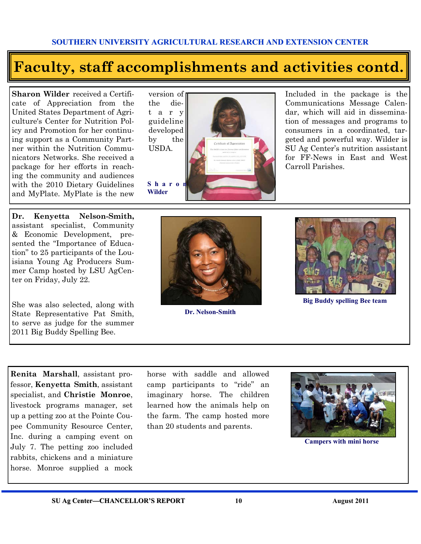# **Faculty, staff accomplishments and activities contd.**

**Sharon Wilder** received a Certificate of Appreciation from the United States Department of Agriculture's Center for Nutrition Policy and Promotion for her continuing support as a Community Partner within the Nutrition Communicators Networks. She received a package for her efforts in reaching the community and audiences with the 2010 Dietary Guidelines and MyPlate. MyPlate is the new

**Dr. Kenyetta Nelson-Smith,**  assistant specialist, Community & Economic Development, presented the "Importance of Education" to 25 participants of the Louisiana Young Ag Producers Summer Camp hosted by LSU AgCenter on Friday, July 22.

She was also selected, along with State Representative Pat Smith, to serve as judge for the summer 2011 Big Buddy Spelling Bee.

**Renita Marshall**, assistant professor, **Kenyetta Smith**, assistant specialist, and **Christie Monroe**, livestock programs manager, set up a petting zoo at the Pointe Coupee Community Resource Center, Inc. during a camping event on July 7. The petting zoo included rabbits, chickens and a miniature horse. Monroe supplied a mock

the diet a r y guideline developed by the USDA.

**S h a r o n Wilder** 



Included in the package is the Communications Message Calendar, which will aid in dissemination of messages and programs to consumers in a coordinated, targeted and powerful way. Wilder is SU Ag Center's nutrition assistant for FF-News in East and West Carroll Parishes.



**Dr. Nelson-Smith** 



**Big Buddy spelling Bee team** 

horse with saddle and allowed camp participants to "ride" an imaginary horse. The children learned how the animals help on the farm. The camp hosted more than 20 students and parents.



**Campers with mini horse**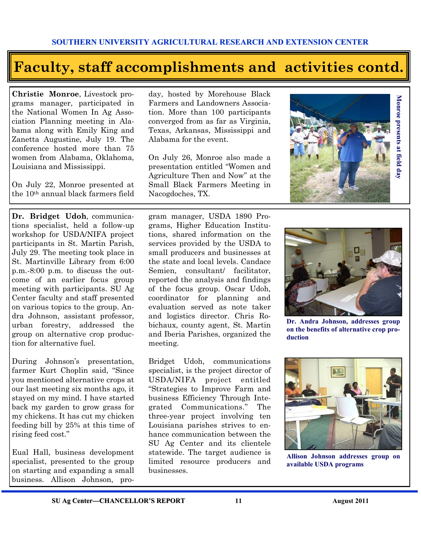# **Faculty, staff accomplishments and activities contd.**

**Christie Monroe**, Livestock programs manager, participated in the National Women In Ag Association Planning meeting in Alabama along with Emily King and Zanetta Augustine, July 19. The conference hosted more than 75 women from Alabama, Oklahoma, Louisiana and Mississippi.

On July 22, Monroe presented at the 10th annual black farmers field

**Dr. Bridget Udoh**, communications specialist, held a follow-up workshop for USDA/NIFA project participants in St. Martin Parish, July 29. The meeting took place in St. Martinville Library from 6:00 p.m.-8:00 p.m. to discuss the outcome of an earlier focus group meeting with participants. SU Ag Center faculty and staff presented on various topics to the group. Andra Johnson, assistant professor, urban forestry, addressed the group on alternative crop production for alternative fuel.

During Johnson's presentation, farmer Kurt Choplin said, "Since you mentioned alternative crops at our last meeting six months ago, it stayed on my mind. I have started back my garden to grow grass for my chickens. It has cut my chicken feeding bill by 25% at this time of rising feed cost."

Eual Hall, business development specialist, presented to the group on starting and expanding a small business. Allison Johnson, pro-

day, hosted by Morehouse Black Farmers and Landowners Association. More than 100 participants converged from as far as Virginia, Texas, Arkansas, Mississippi and Alabama for the event.

On July 26, Monroe also made a presentation entitled "Women and Agriculture Then and Now" at the Small Black Farmers Meeting in Nacogdoches, TX.

gram manager, USDA 1890 Programs, Higher Education Institutions, shared information on the services provided by the USDA to small producers and businesses at the state and local levels. Candace Semien, consultant/ facilitator, reported the analysis and findings of the focus group. Oscar Udoh, coordinator for planning and evaluation served as note taker and logistics director. Chris Robichaux, county agent, St. Martin and Iberia Parishes, organized the meeting.

Bridget Udoh, communications specialist, is the project director of USDA/NIFA project entitled "Strategies to Improve Farm and business Efficiency Through Integrated Communications." The three-year project involving ten Louisiana parishes strives to enhance communication between the SU Ag Center and its clientele statewide. The target audience is limited resource producers and businesses.







**Dr. Andra Johnson, addresses group on the benefits of alternative crop production** 



**Allison Johnson addresses group on available USDA programs**